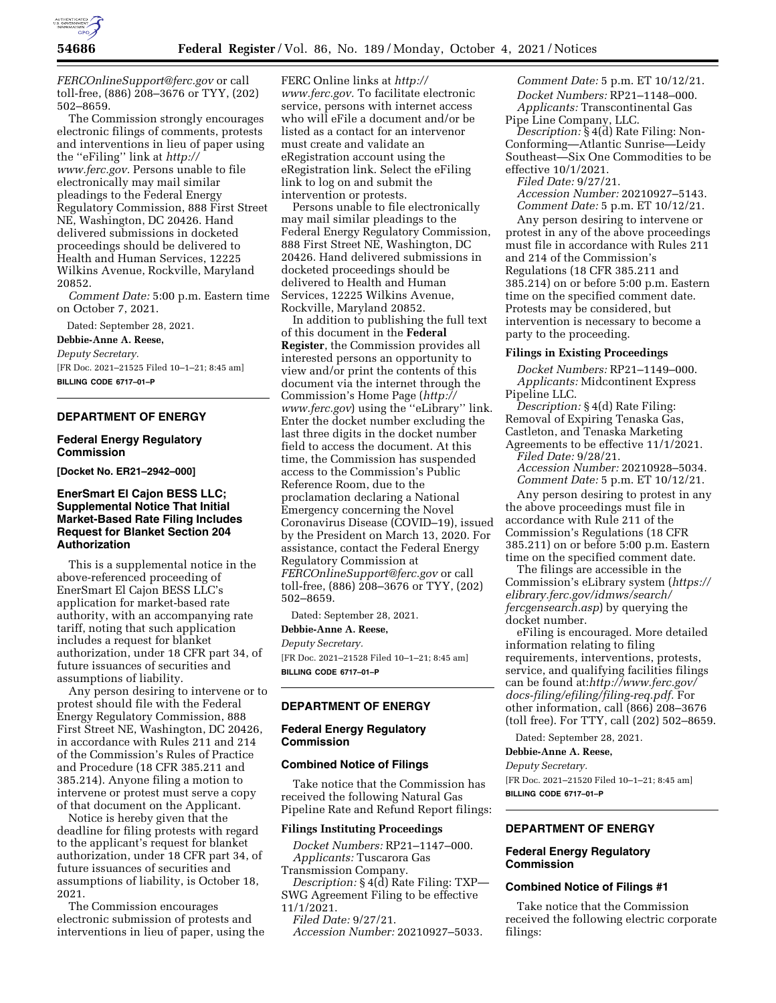

*[FERCOnlineSupport@ferc.gov](mailto:FERCOnlineSupport@ferc.gov)* or call toll-free, (886) 208–3676 or TYY, (202) 502–8659.

The Commission strongly encourages electronic filings of comments, protests and interventions in lieu of paper using the ''eFiling'' link at *[http://](http://www.ferc.gov) [www.ferc.gov.](http://www.ferc.gov)* Persons unable to file electronically may mail similar pleadings to the Federal Energy Regulatory Commission, 888 First Street NE, Washington, DC 20426. Hand delivered submissions in docketed proceedings should be delivered to Health and Human Services, 12225 Wilkins Avenue, Rockville, Maryland 20852.

*Comment Date:* 5:00 p.m. Eastern time on October 7, 2021.

Dated: September 28, 2021.

**Debbie-Anne A. Reese,**  *Deputy Secretary.*  [FR Doc. 2021–21525 Filed 10–1–21; 8:45 am] **BILLING CODE 6717–01–P** 

# **DEPARTMENT OF ENERGY**

## **Federal Energy Regulatory Commission**

**[Docket No. ER21–2942–000]** 

## **EnerSmart El Cajon BESS LLC; Supplemental Notice That Initial Market-Based Rate Filing Includes Request for Blanket Section 204 Authorization**

This is a supplemental notice in the above-referenced proceeding of EnerSmart El Cajon BESS LLC's application for market-based rate authority, with an accompanying rate tariff, noting that such application includes a request for blanket authorization, under 18 CFR part 34, of future issuances of securities and assumptions of liability.

Any person desiring to intervene or to protest should file with the Federal Energy Regulatory Commission, 888 First Street NE, Washington, DC 20426, in accordance with Rules 211 and 214 of the Commission's Rules of Practice and Procedure (18 CFR 385.211 and 385.214). Anyone filing a motion to intervene or protest must serve a copy of that document on the Applicant.

Notice is hereby given that the deadline for filing protests with regard to the applicant's request for blanket authorization, under 18 CFR part 34, of future issuances of securities and assumptions of liability, is October 18, 2021.

The Commission encourages electronic submission of protests and interventions in lieu of paper, using the

FERC Online links at *[http://](http://www.ferc.gov) [www.ferc.gov.](http://www.ferc.gov)* To facilitate electronic service, persons with internet access who will eFile a document and/or be listed as a contact for an intervenor must create and validate an eRegistration account using the eRegistration link. Select the eFiling link to log on and submit the intervention or protests.

Persons unable to file electronically may mail similar pleadings to the Federal Energy Regulatory Commission, 888 First Street NE, Washington, DC 20426. Hand delivered submissions in docketed proceedings should be delivered to Health and Human Services, 12225 Wilkins Avenue, Rockville, Maryland 20852.

In addition to publishing the full text of this document in the **Federal Register**, the Commission provides all interested persons an opportunity to view and/or print the contents of this document via the internet through the Commission's Home Page (*[http://](http://www.ferc.gov) [www.ferc.gov](http://www.ferc.gov)*) using the ''eLibrary'' link. Enter the docket number excluding the last three digits in the docket number field to access the document. At this time, the Commission has suspended access to the Commission's Public Reference Room, due to the proclamation declaring a National Emergency concerning the Novel Coronavirus Disease (COVID–19), issued by the President on March 13, 2020. For assistance, contact the Federal Energy Regulatory Commission at *[FERCOnlineSupport@ferc.gov](mailto:FERCOnlineSupport@ferc.gov)* or call toll-free, (886) 208–3676 or TYY, (202) 502–8659.

Dated: September 28, 2021. **Debbie-Anne A. Reese,** 

*Deputy Secretary.*  [FR Doc. 2021–21528 Filed 10–1–21; 8:45 am] **BILLING CODE 6717–01–P** 

# **DEPARTMENT OF ENERGY**

# **Federal Energy Regulatory Commission**

## **Combined Notice of Filings**

Take notice that the Commission has received the following Natural Gas Pipeline Rate and Refund Report filings:

## **Filings Instituting Proceedings**

*Docket Numbers:* RP21–1147–000. *Applicants:* Tuscarora Gas

Transmission Company. *Description:* § 4(d) Rate Filing: TXP— SWG Agreement Filing to be effective 11/1/2021.

*Filed Date:* 9/27/21.

*Accession Number:* 20210927–5033.

*Comment Date:* 5 p.m. ET 10/12/21. *Docket Numbers:* RP21–1148–000. *Applicants:* Transcontinental Gas Pipe Line Company, LLC.

*Description:* § 4(d) Rate Filing: Non-Conforming—Atlantic Sunrise—Leidy Southeast—Six One Commodities to be effective 10/1/2021.

*Filed Date:* 9/27/21.

*Accession Number:* 20210927–5143. *Comment Date:* 5 p.m. ET 10/12/21.

Any person desiring to intervene or protest in any of the above proceedings must file in accordance with Rules 211 and 214 of the Commission's Regulations (18 CFR 385.211 and 385.214) on or before 5:00 p.m. Eastern time on the specified comment date. Protests may be considered, but intervention is necessary to become a party to the proceeding.

#### **Filings in Existing Proceedings**

*Docket Numbers:* RP21–1149–000. *Applicants:* Midcontinent Express Pipeline LLC.

*Description:* § 4(d) Rate Filing: Removal of Expiring Tenaska Gas, Castleton, and Tenaska Marketing Agreements to be effective 11/1/2021.

*Filed Date:* 9/28/21. *Accession Number:* 20210928–5034. *Comment Date:* 5 p.m. ET 10/12/21.

Any person desiring to protest in any the above proceedings must file in accordance with Rule 211 of the Commission's Regulations (18 CFR 385.211) on or before 5:00 p.m. Eastern time on the specified comment date.

The filings are accessible in the Commission's eLibrary system (*[https://](https://elibrary.ferc.gov/idmws/search/fercgensearch.asp) [elibrary.ferc.gov/idmws/search/](https://elibrary.ferc.gov/idmws/search/fercgensearch.asp) [fercgensearch.asp](https://elibrary.ferc.gov/idmws/search/fercgensearch.asp)*) by querying the docket number.

eFiling is encouraged. More detailed information relating to filing requirements, interventions, protests, service, and qualifying facilities filings can be found at:*[http://www.ferc.gov/](http://www.ferc.gov/docs-filing/efiling/filing-req.pdf) [docs-filing/efiling/filing-req.pdf.](http://www.ferc.gov/docs-filing/efiling/filing-req.pdf)* For other information, call (866) 208–3676 (toll free). For TTY, call (202) 502–8659.

Dated: September 28, 2021.

**Debbie-Anne A. Reese,** 

*Deputy Secretary.*  [FR Doc. 2021–21520 Filed 10–1–21; 8:45 am] **BILLING CODE 6717–01–P** 

# **DEPARTMENT OF ENERGY**

## **Federal Energy Regulatory Commission**

## **Combined Notice of Filings #1**

Take notice that the Commission received the following electric corporate filings: